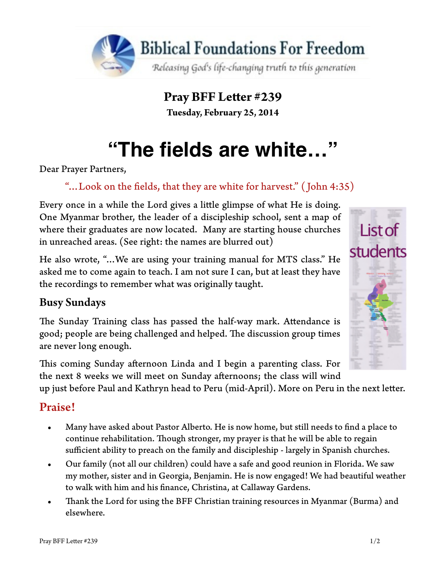

**Pray BFF Leter #239 Tuesday, February 25, 2014**

# **"The fields are white…"**

Dear Prayer Partners,

## "…Look on the felds, that they are white for harvest." ( John 4:35)

Every once in a while the Lord gives a litle glimpse of what He is doing. One Myanmar brother, the leader of a discipleship school, sent a map of where their graduates are now located. Many are starting house churches in unreached areas. (See right: the names are blurred out)

He also wrote, "…We are using your training manual for MTS class." He asked me to come again to teach. I am not sure I can, but at least they have the recordings to remember what was originally taught.

### Busy Sundays

The Sunday Training class has passed the half-way mark. Attendance is good; people are being challenged and helped. The discussion group times are never long enough.

This coming Sunday afternoon Linda and I begin a parenting class. For the next 8 weeks we will meet on Sunday afernoons; the class will wind

up just before Paul and Kathryn head to Peru (mid-April). More on Peru in the next leter.

### Praise!

- Many have asked about Pastor Alberto. He is now home, but still needs to fnd a place to continue rehabilitation. Though stronger, my prayer is that he will be able to regain sufficient ability to preach on the family and discipleship - largely in Spanish churches.
- Our family (not all our children) could have a safe and good reunion in Florida. We saw my mother, sister and in Georgia, Benjamin. He is now engaged! We had beautiful weather to walk with him and his fnance, Christina, at Callaway Gardens.
- Thank the Lord for using the BFF Christian training resources in Myanmar (Burma) and elsewhere.